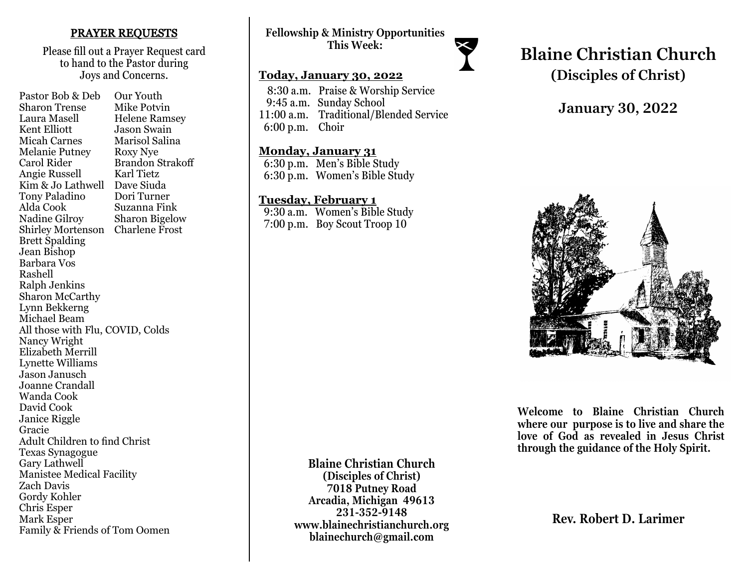### PRAYER REQUESTS

Please fill out a Prayer Request card to hand to the Pastor during Joys and Concerns.

Pastor Bob & Deb Our Youth Sharon Trense Mike Potvin Laura Masell Helene Ramsey<br>Kent Elliott Jason Swain **Jason Swain** Micah Carnes Marisol Salina Melanie Putney Roxy Nye Carol Rider Brandon Strakoff Angie Russell Karl Tietz Kim & Jo Lathwell Dave Siuda Tony Paladino Dori Turner Alda Cook Suzanna Fink<br>Nadine Gilrov Sharon Bigelov Sharon Bigelow Shirley Mortenson Charlene Frost Brett Spalding Jean Bishop Barbara Vos Rashell Ralph Jenkins Sharon McCarthy Lynn Bekkerng Michael Beam All those with Flu, COVID, Colds Nancy Wright Elizabeth Merrill Lynette Williams Jason Janusch Joanne Crandall Wanda Cook David Cook Janice Riggle Gracie Adult Children to find Christ Texas Synagogue Gary Lathwell Manistee Medical Facility Zach Davis Gordy Kohler Chris Esper Mark Esper Family & Friends of Tom Oomen

**Fellowship & Ministry Opportunities This Week:**

#### **Today, January 30, 2022**

 8:30 a.m. Praise & Worship Service 9:45 a.m. Sunday School 11:00 a.m. Traditional/Blended Service 6:00 p.m. Choir

#### **Monday, January 31**

 6:30 p.m. Men's Bible Study 6:30 p.m. Women's Bible Study

### **Tuesday, February 1**

 9:30 a.m. Women's Bible Study 7:00 p.m. Boy Scout Troop 10

# **Blaine Christian Church (Disciples of Christ)**

# **January 30, 2022**



**Welcome to Blaine Christian Church where our purpose is to live and share the love of God as revealed in Jesus Christ through the guidance of the Holy Spirit.**

**Rev. Robert D. Larimer**

**Blaine Christian Church (Disciples of Christ) 7018 Putney Road Arcadia, Michigan 49613 231-352-9148 www.blainechristianchurch.org blainechurch@gmail.com**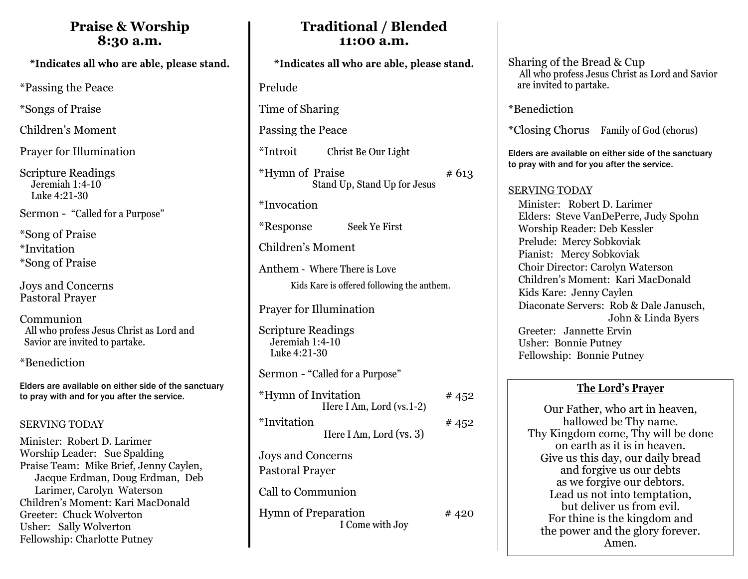# **Praise & Worship 8:30 a.m.**

\*Passing the Peace

\*Songs of Praise

Children's Moment

Prayer for Illumination

Scripture Readings Jeremiah 1:4-10 Luke 4:21-30

Sermon - "Called for a Purpose"

\*Song of Praise \*Invitation \*Song of Praise

Joys and Concerns Pastoral Prayer

Communion All who profess Jesus Christ as Lord and Savior are invited to partake.

\*Benediction

Elders are available on either side of the sanctuary to pray with and for you after the service.

## SERVING TODAY

Minister: Robert D. Larimer Worship Leader: Sue Spalding Praise Team: Mike Brief, Jenny Caylen, Jacque Erdman, Doug Erdman, Deb Larimer, Carolyn Waterson Children's Moment: Kari MacDonald Greeter: Chuck Wolverton Usher: Sally Wolverton Fellowship: Charlotte Putney

# **Traditional / Blended 11:00 a.m.**

Prelude Time of Sharing Passing the Peace

\*Introit Christ Be Our Light

\*Hymn of Praise  $#613$ Stand Up, Stand Up for Jesus

\*Invocation

\*Response Seek Ye First

Children's Moment

Anthem - Where There is Love Kids Kare is offered following the anthem.

Prayer for Illumination

Scripture Readings Jeremiah 1:4-10 Luke 4:21-30

Sermon - "Called for a Purpose"

| <i>*</i> Hymn of Invitation          | #452 |
|--------------------------------------|------|
| Here I Am, Lord $(vs.1-2)$           |      |
| *Invitation                          | #452 |
| Here I Am, Lord (vs. $3$ )           |      |
| Joys and Concerns                    |      |
| $\text{D}$ ostono) $\text{D}$ novion |      |

Pastoral Prayer

Call to Communion

Hymn of Preparation #420 I Come with Joy

Sharing of the Bread & Cup All who profess Jesus Christ as Lord and Savior are invited to partake.

\*Benediction

\*Closing Chorus Family of God (chorus)

Elders are available on either side of the sanctuary to pray with and for you after the service.

## SERVING TODAY

 Minister: Robert D. Larimer Elders: Steve VanDePerre, Judy Spohn Worship Reader: Deb Kessler Prelude: Mercy Sobkoviak Pianist: Mercy Sobkoviak Choir Director: Carolyn Waterson Children's Moment: Kari MacDonald Kids Kare: Jenny Caylen Diaconate Servers: Rob & Dale Janusch, John & Linda Byers Greeter: Jannette Ervin Usher: Bonnie Putney Fellowship: Bonnie Putney

# **The Lord's Prayer**

Our Father, who art in heaven, hallowed be Thy name. Thy Kingdom come, Thy will be done on earth as it is in heaven. Give us this day, our daily bread and forgive us our debts as we forgive our debtors. Lead us not into temptation, but deliver us from evil. For thine is the kingdom and the power and the glory forever. Amen.